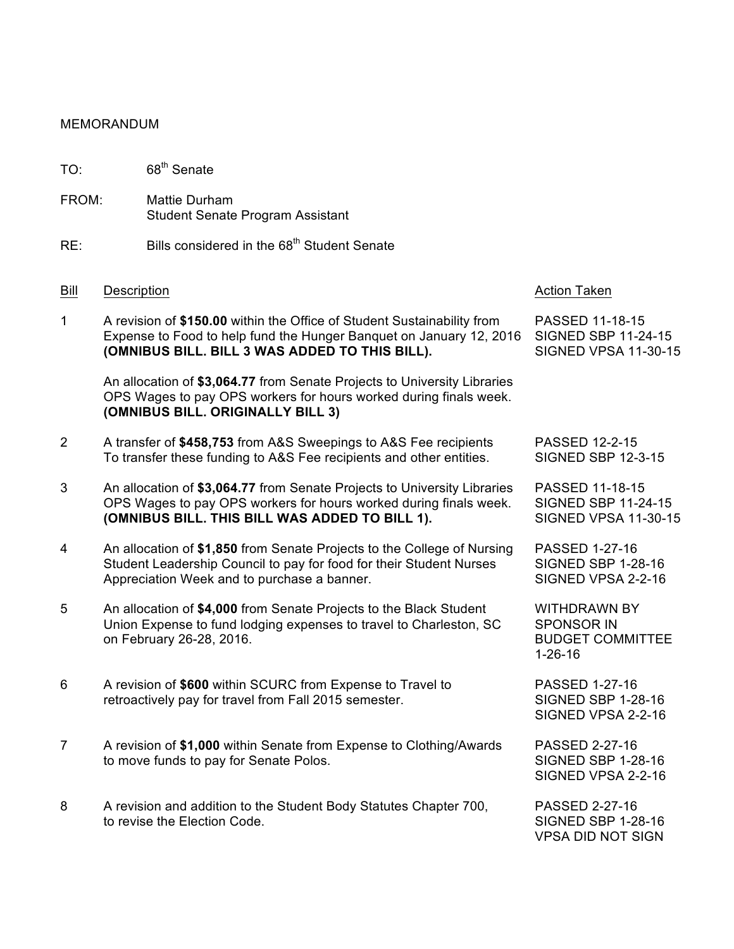## MEMORANDUM

TO: 68<sup>th</sup> Senate

- FROM: Mattie Durham Student Senate Program Assistant
- $RE:$  Bills considered in the  $68<sup>th</sup>$  Student Senate

## Bill Description **Action Taken** Bill Description **Action Taken**

1 A revision of **\$150.00** within the Office of Student Sustainability from PASSED 11-18-15 Expense to Food to help fund the Hunger Banquet on January 12, 2016 SIGNED SBP 11-24-15 **(OMNIBUS BILL. BILL 3 WAS ADDED TO THIS BILL).** SIGNED VPSA 11-30-15

An allocation of **\$3,064.77** from Senate Projects to University Libraries OPS Wages to pay OPS workers for hours worked during finals week. **(OMNIBUS BILL. ORIGINALLY BILL 3)**

- 2 A transfer of **\$458,753** from A&S Sweepings to A&S Fee recipients PASSED 12-2-15 To transfer these funding to A&S Fee recipients and other entities. SIGNED SBP 12-3-15
- 3 An allocation of **\$3,064.77** from Senate Projects to University Libraries PASSED 11-18-15 OPS Wages to pay OPS workers for hours worked during finals week. SIGNED SBP 11-24-15 **(OMNIBUS BILL. THIS BILL WAS ADDED TO BILL 1).** SIGNED VPSA 11-30-15
- 4 An allocation of **\$1,850** from Senate Projects to the College of Nursing PASSED 1-27-16 Student Leadership Council to pay for food for their Student Nurses SIGNED SBP 1-28-16 Appreciation Week and to purchase a banner. The SIGNED VPSA 2-2-16
- 5 An allocation of **\$4,000** from Senate Projects to the Black Student WITHDRAWN BY Union Expense to fund lodging expenses to travel to Charleston, SC SPONSOR IN on February 26-28, 2016. And The State of the BUDGET COMMITTEE
- 6 A revision of **\$600** within SCURC from Expense to Travel to PASSED 1-27-16 retroactively pay for travel from Fall 2015 semester. SIGNED SBP 1-28-16
- 7 A revision of **\$1,000** within Senate from Expense to Clothing/Awards PASSED 2-27-16 to move funds to pay for Senate Polos. SIGNED SBP 1-28-16
- 8 A revision and addition to the Student Body Statutes Chapter 700, PASSED 2-27-16 to revise the Election Code. The state of the SIGNED SBP 1-28-16

1-26-16

SIGNED VPSA 2-2-16

SIGNED VPSA 2-2-16

VPSA DID NOT SIGN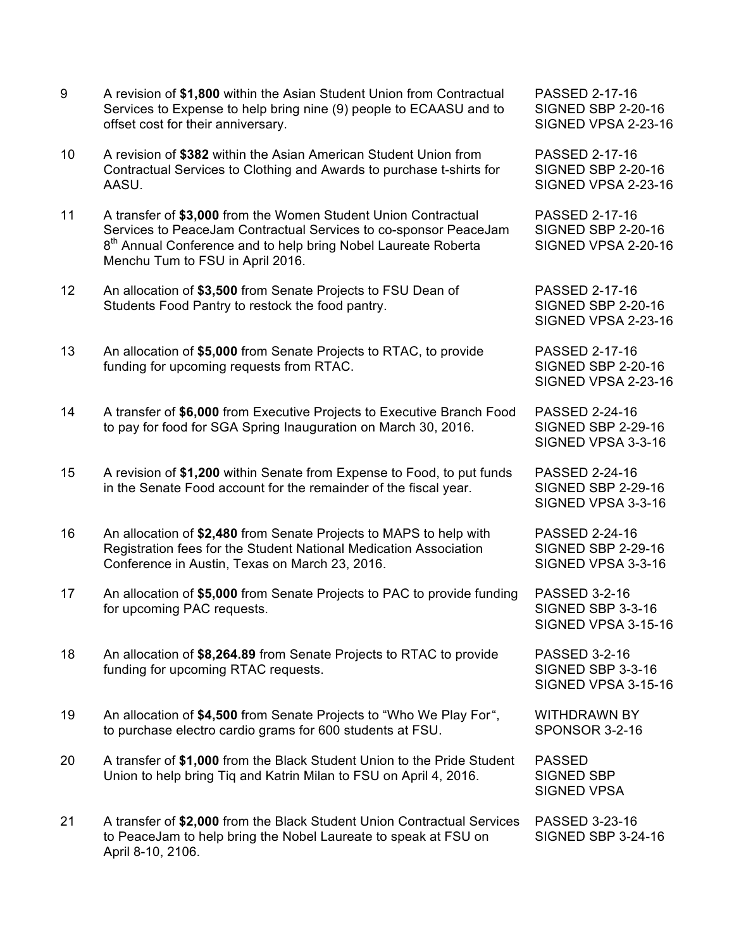- 9 A revision of **\$1,800** within the Asian Student Union from Contractual PASSED 2-17-16 Services to Expense to help bring nine (9) people to ECAASU and to SIGNED SBP 2-20-16 offset cost for their anniversary. The state of the state of the SIGNED VPSA 2-23-16
- 10 A revision of **\$382** within the Asian American Student Union from PASSED 2-17-16 Contractual Services to Clothing and Awards to purchase t-shirts for SIGNED SBP 2-20-16 AASU. SIGNED VPSA 2-23-16
- 11 A transfer of **\$3,000** from the Women Student Union Contractual PASSED 2-17-16 Services to PeaceJam Contractual Services to co-sponsor PeaceJam SIGNED SBP 2-20-16 8<sup>th</sup> Annual Conference and to help bring Nobel Laureate Roberta SIGNED VPSA 2-20-16 Menchu Tum to FSU in April 2016.
- 12 An allocation of **\$3,500** from Senate Projects to FSU Dean of PASSED 2-17-16 Students Food Pantry to restock the food pantry. SIGNED SBP 2-20-16
- 13 An allocation of **\$5,000** from Senate Projects to RTAC, to provide PASSED 2-17-16 funding for upcoming requests from RTAC. SIGNED SBP 2-20-16
- 14 A transfer of **\$6,000** from Executive Projects to Executive Branch Food PASSED 2-24-16 to pay for food for SGA Spring Inauguration on March 30, 2016. SIGNED SBP 2-29-16
- 15 A revision of **\$1,200** within Senate from Expense to Food, to put funds PASSED 2-24-16 in the Senate Food account for the remainder of the fiscal year. SIGNED SBP 2-29-16
- 16 An allocation of **\$2,480** from Senate Projects to MAPS to help with PASSED 2-24-16 Registration fees for the Student National Medication Association SIGNED SBP 2-29-16 Conference in Austin, Texas on March 23, 2016. New SIGNED VPSA 3-3-16
- 17 An allocation of **\$5,000** from Senate Projects to PAC to provide funding PASSED 3-2-16 for upcoming PAC requests. The state of the state of the SIGNED SBP 3-3-16
- 18 An allocation of **\$8,264.89** from Senate Projects to RTAC to provide PASSED 3-2-16 funding for upcoming RTAC requests. The state of the SIGNED SBP 3-3-16
- 19 An allocation of **\$4,500** from Senate Projects to "Who We Play For", WITHDRAWN BY to purchase electro cardio grams for 600 students at FSU. SPONSOR 3-2-16
- 20 A transfer of **\$1,000** from the Black Student Union to the Pride Student PASSED Union to help bring Tiq and Katrin Milan to FSU on April 4, 2016. SIGNED SBP
- 21 A transfer of **\$2,000** from the Black Student Union Contractual Services PASSED 3-23-16 to PeaceJam to help bring the Nobel Laureate to speak at FSU on SIGNED SBP 3-24-16 April 8-10, 2106.

SIGNED VPSA 2-23-16

SIGNED VPSA 2-23-16

SIGNED VPSA 3-3-16

SIGNED VPSA 3-3-16

SIGNED VPSA 3-15-16

SIGNED VPSA 3-15-16

SIGNED VPSA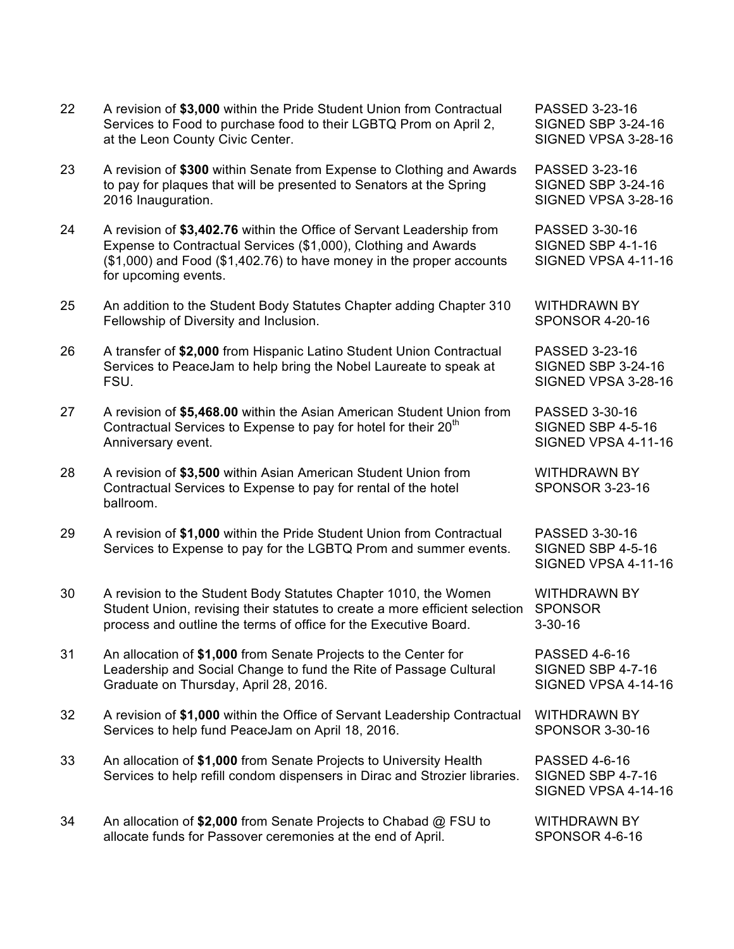|    | FSU.                                                                                                                                                                                                               | SIGNED VPSA 3-28-16                                              |
|----|--------------------------------------------------------------------------------------------------------------------------------------------------------------------------------------------------------------------|------------------------------------------------------------------|
| 27 | A revision of \$5,468.00 within the Asian American Student Union from<br>Contractual Services to Expense to pay for hotel for their 20 <sup>th</sup><br>Anniversary event.                                         | PASSED 3-30-16<br>SIGNED SBP 4-5-16<br>SIGNED VPSA 4-11-16       |
| 28 | A revision of \$3,500 within Asian American Student Union from<br>Contractual Services to Expense to pay for rental of the hotel<br>ballroom.                                                                      | <b>WITHDRAWN BY</b><br><b>SPONSOR 3-23-16</b>                    |
| 29 | A revision of \$1,000 within the Pride Student Union from Contractual<br>Services to Expense to pay for the LGBTQ Prom and summer events.                                                                          | PASSED 3-30-16<br>SIGNED SBP 4-5-16<br>SIGNED VPSA 4-11-16       |
| 30 | A revision to the Student Body Statutes Chapter 1010, the Women<br>Student Union, revising their statutes to create a more efficient selection<br>process and outline the terms of office for the Executive Board. | <b>WITHDRAWN BY</b><br><b>SPONSOR</b><br>$3 - 30 - 16$           |
| 31 | An allocation of \$1,000 from Senate Projects to the Center for<br>Leadership and Social Change to fund the Rite of Passage Cultural<br>Graduate on Thursday, April 28, 2016.                                      | <b>PASSED 4-6-16</b><br>SIGNED SBP 4-7-16<br>SIGNED VPSA 4-14-16 |
| 32 | A revision of \$1,000 within the Office of Servant Leadership Contractual<br>Services to help fund PeaceJam on April 18, 2016.                                                                                     | <b>WITHDRAWN BY</b><br><b>SPONSOR 3-30-16</b>                    |
| 33 | An allocation of \$1,000 from Senate Projects to University Health<br>Services to help refill condom dispensers in Dirac and Strozier libraries.                                                                   | <b>PASSED 4-6-16</b><br>SIGNED SBP 4-7-16<br>SIGNED VPSA 4-14-16 |
| 34 | An allocation of \$2,000 from Senate Projects to Chabad @ FSU to<br>allocate funds for Passover ceremonies at the end of April.                                                                                    | <b>WITHDRAWN BY</b><br>SPONSOR 4-6-16                            |

Services to Food to purchase food to their LGBTQ Prom on April 2, SIGNED SBP 3-24-16 at the Leon County Civic Center. The State of the SIGNED VPSA 3-28-16

22 A revision of **\$3,000** within the Pride Student Union from Contractual PASSED 3-23-16

23 A revision of **\$300** within Senate from Expense to Clothing and Awards PASSED 3-23-16 to pay for plaques that will be presented to Senators at the Spring SIGNED SBP 3-24-16 2016 Inauguration. **SIGNED VPSA 3-28-16** 

24 A revision of **\$3,402.76** within the Office of Servant Leadership from PASSED 3-30-16 Expense to Contractual Services (\$1,000), Clothing and Awards SIGNED SBP 4-1-16  $($1,000)$  and Food  $($1,402.76)$  to have money in the proper accounts SIGNED VPSA 4-11-16 for upcoming events.

25 An addition to the Student Body Statutes Chapter adding Chapter 310 WITHDRAWN BY Fellowship of Diversity and Inclusion. The SPONSOR 4-20-16

26 A transfer of **\$2,000** from Hispanic Latino Student Union Contractual PASSED 3-23-16 Services to PeaceJam to help bring the Nobel Laureate to speak at SIGNED SBP 3-24-16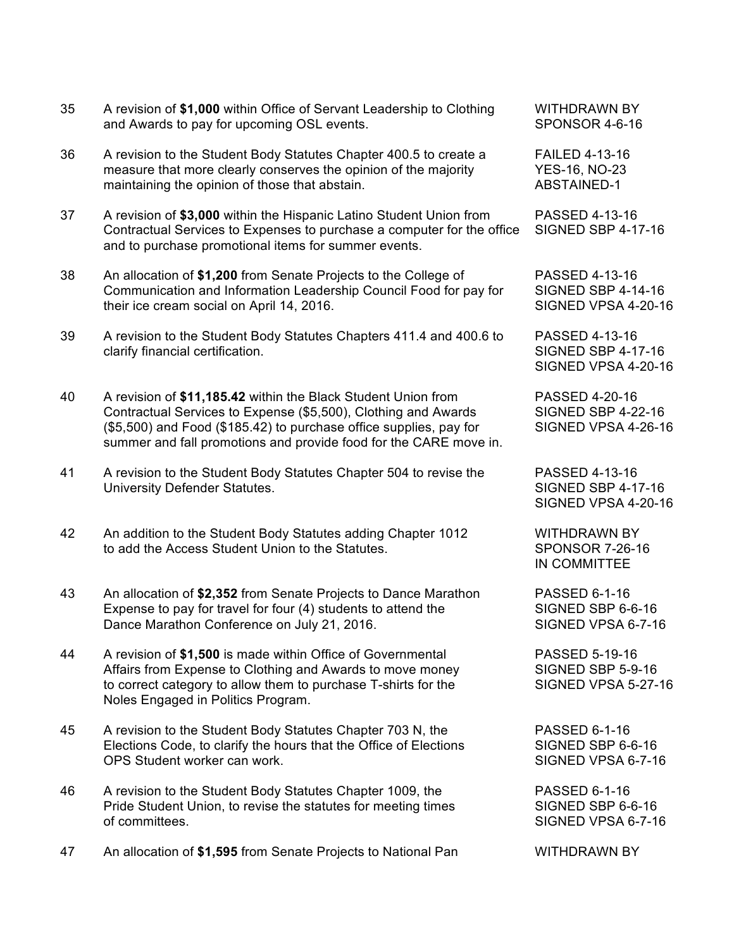|    | and Awards to pay for upcoming OSL events.                                                                                                                                                                                                                                 | <b>SPONSOR 4-6-16</b>                                               |
|----|----------------------------------------------------------------------------------------------------------------------------------------------------------------------------------------------------------------------------------------------------------------------------|---------------------------------------------------------------------|
| 36 | A revision to the Student Body Statutes Chapter 400.5 to create a<br>measure that more clearly conserves the opinion of the majority<br>maintaining the opinion of those that abstain.                                                                                     | <b>FAILED 4-13-16</b><br><b>YES-16, NO-23</b><br><b>ABSTAINED-1</b> |
| 37 | A revision of \$3,000 within the Hispanic Latino Student Union from<br>Contractual Services to Expenses to purchase a computer for the office<br>and to purchase promotional items for summer events.                                                                      | PASSED 4-13-16<br><b>SIGNED SBP 4-17-16</b>                         |
| 38 | An allocation of \$1,200 from Senate Projects to the College of<br>Communication and Information Leadership Council Food for pay for<br>their ice cream social on April 14, 2016.                                                                                          | PASSED 4-13-16<br><b>SIGNED SBP 4-14-16</b><br>SIGNED VPSA 4-20-16  |
| 39 | A revision to the Student Body Statutes Chapters 411.4 and 400.6 to<br>clarify financial certification.                                                                                                                                                                    | PASSED 4-13-16<br><b>SIGNED SBP 4-17-16</b><br>SIGNED VPSA 4-20-16  |
| 40 | A revision of \$11,185.42 within the Black Student Union from<br>Contractual Services to Expense (\$5,500), Clothing and Awards<br>(\$5,500) and Food (\$185.42) to purchase office supplies, pay for<br>summer and fall promotions and provide food for the CARE move in. | PASSED 4-20-16<br><b>SIGNED SBP 4-22-16</b><br>SIGNED VPSA 4-26-16  |
| 41 | A revision to the Student Body Statutes Chapter 504 to revise the<br>University Defender Statutes.                                                                                                                                                                         | PASSED 4-13-16<br><b>SIGNED SBP 4-17-16</b><br>SIGNED VPSA 4-20-16  |
| 42 | An addition to the Student Body Statutes adding Chapter 1012<br>to add the Access Student Union to the Statutes.                                                                                                                                                           | <b>WITHDRAWN BY</b><br><b>SPONSOR 7-26-16</b><br>IN COMMITTEE       |
| 43 | An allocation of \$2,352 from Senate Projects to Dance Marathon<br>Expense to pay for travel for four (4) students to attend the<br>Dance Marathon Conference on July 21, 2016.                                                                                            | PASSED 6-1-16<br>SIGNED SBP 6-6-16<br>SIGNED VPSA 6-7-16            |
| 44 | A revision of \$1,500 is made within Office of Governmental                                                                                                                                                                                                                | <b>PASSED 5-19-16</b>                                               |

35 A revision of **\$1,000** within Office of Servant Leadership to Clothing WITHDRAWN BY

- Affairs from Expense to Clothing and Awards to move money SIGNED SBP 5-9-16 to correct category to allow them to purchase T-shirts for the SIGNED VPSA 5-27-16 Noles Engaged in Politics Program.
- 45 A revision to the Student Body Statutes Chapter 703 N, the PASSED 6-1-16 Elections Code, to clarify the hours that the Office of Elections SIGNED SBP 6-6-16 OPS Student worker can work.  $\sim$  SIGNED VPSA 6-7-16
- 46 A revision to the Student Body Statutes Chapter 1009, the PASSED 6-1-16 Pride Student Union, to revise the statutes for meeting times SIGNED SBP 6-6-16 of committees. SIGNED VPSA 6-7-16
- 47 An allocation of \$1,595 from Senate Projects to National Pan WITHDRAWN BY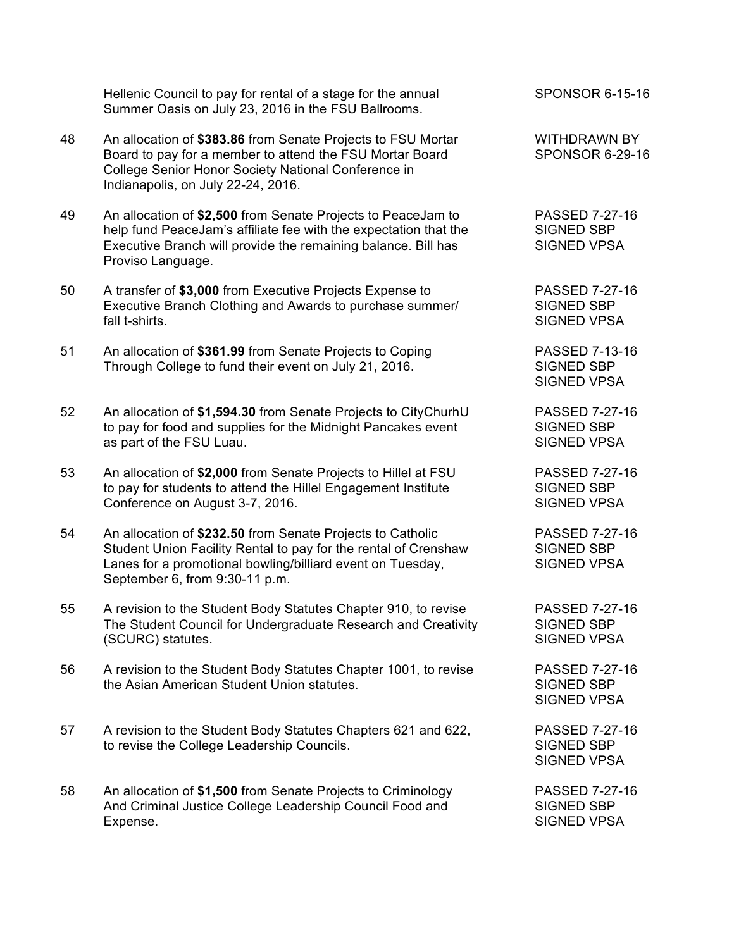Hellenic Council to pay for rental of a stage for the annual SPONSOR 6-15-16 Summer Oasis on July 23, 2016 in the FSU Ballrooms.

- 48 An allocation of **\$383.86** from Senate Projects to FSU Mortar WITHDRAWN BY Board to pay for a member to attend the FSU Mortar Board SPONSOR 6-29-16 College Senior Honor Society National Conference in Indianapolis, on July 22-24, 2016.
- 49 An allocation of **\$2,500** from Senate Projects to PeaceJam to PASSED 7-27-16 help fund PeaceJam's affiliate fee with the expectation that the SIGNED SBP Executive Branch will provide the remaining balance. Bill has SIGNED VPSA Proviso Language.
- 50 A transfer of **\$3,000** from Executive Projects Expense to PASSED 7-27-16 Executive Branch Clothing and Awards to purchase summer/ SIGNED SBP fall t-shirts. SIGNED VPSA
- 51 An allocation of **\$361.99** from Senate Projects to Coping PASSED 7-13-16 Through College to fund their event on July 21, 2016. SIGNED SBP
- 52 An allocation of **\$1,594.30** from Senate Projects to CityChurhU PASSED 7-27-16 to pay for food and supplies for the Midnight Pancakes event SIGNED SBP as part of the FSU Luau. SIGNED VPSA
- 53 An allocation of **\$2,000** from Senate Projects to Hillel at FSU PASSED 7-27-16 to pay for students to attend the Hillel Engagement Institute SIGNED SBP Conference on August 3-7, 2016. Notice that the SIGNED VPSA
- 54 An allocation of **\$232.50** from Senate Projects to Catholic PASSED 7-27-16 Student Union Facility Rental to pay for the rental of Crenshaw SIGNED SBP Lanes for a promotional bowling/billiard event on Tuesday, SIGNED VPSA September 6, from 9:30-11 p.m.
- 55 A revision to the Student Body Statutes Chapter 910, to revise PASSED 7-27-16 The Student Council for Undergraduate Research and Creativity SIGNED SBP (SCURC) statutes. SIGNED VPSA
- 56 A revision to the Student Body Statutes Chapter 1001, to revise PASSED 7-27-16 the Asian American Student Union statutes. The State of SIGNED SBP
- 57 A revision to the Student Body Statutes Chapters 621 and 622, PASSED 7-27-16 to revise the College Leadership Councils. The SIGNED SBP SIGNED SBP
- 58 An allocation of **\$1,500** from Senate Projects to Criminology PASSED 7-27-16 And Criminal Justice College Leadership Council Food and SIGNED SBP Expense. SIGNED VPSA

SIGNED VPSA

SIGNED VPSA

SIGNED VPSA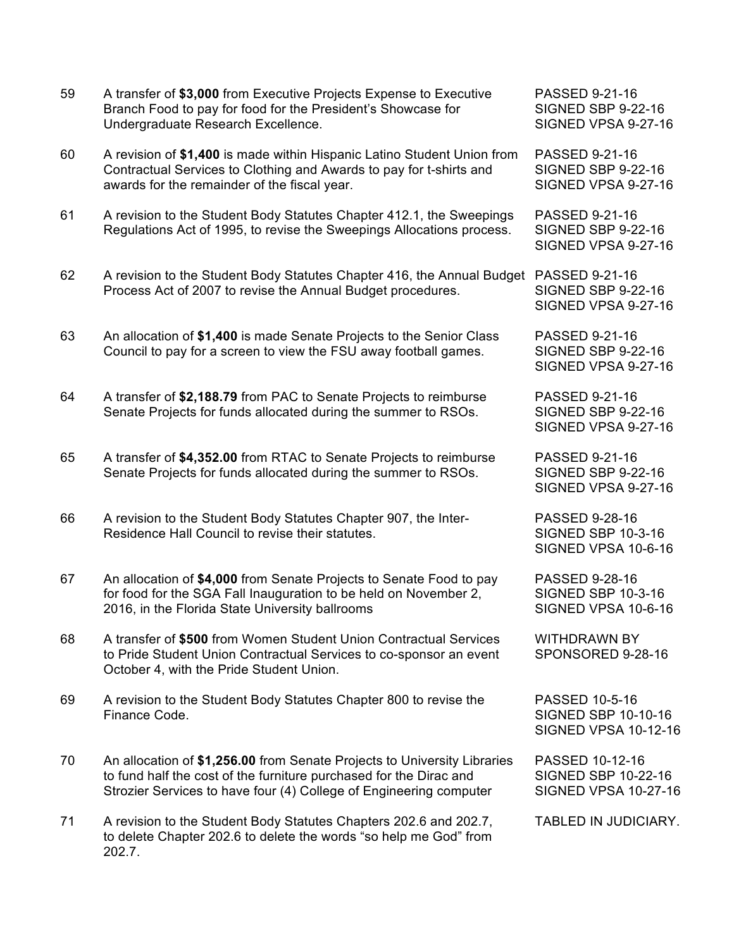| 59 | A transfer of \$3,000 from Executive Projects Expense to Executive<br>Branch Food to pay for food for the President's Showcase for<br>Undergraduate Research Excellence.                                             | PASSED 9-21-16<br><b>SIGNED SBP 9-22-16</b><br>SIGNED VPSA 9-27-16                 |
|----|----------------------------------------------------------------------------------------------------------------------------------------------------------------------------------------------------------------------|------------------------------------------------------------------------------------|
| 60 | A revision of \$1,400 is made within Hispanic Latino Student Union from<br>Contractual Services to Clothing and Awards to pay for t-shirts and<br>awards for the remainder of the fiscal year.                       | <b>PASSED 9-21-16</b><br><b>SIGNED SBP 9-22-16</b><br>SIGNED VPSA 9-27-16          |
| 61 | A revision to the Student Body Statutes Chapter 412.1, the Sweepings<br>Regulations Act of 1995, to revise the Sweepings Allocations process.                                                                        | <b>PASSED 9-21-16</b><br><b>SIGNED SBP 9-22-16</b><br>SIGNED VPSA 9-27-16          |
| 62 | A revision to the Student Body Statutes Chapter 416, the Annual Budget<br>Process Act of 2007 to revise the Annual Budget procedures.                                                                                | PASSED 9-21-16<br><b>SIGNED SBP 9-22-16</b><br>SIGNED VPSA 9-27-16                 |
| 63 | An allocation of \$1,400 is made Senate Projects to the Senior Class<br>Council to pay for a screen to view the FSU away football games.                                                                             | PASSED 9-21-16<br><b>SIGNED SBP 9-22-16</b><br>SIGNED VPSA 9-27-16                 |
| 64 | A transfer of \$2,188.79 from PAC to Senate Projects to reimburse<br>Senate Projects for funds allocated during the summer to RSOs.                                                                                  | PASSED 9-21-16<br><b>SIGNED SBP 9-22-16</b><br>SIGNED VPSA 9-27-16                 |
| 65 | A transfer of \$4,352.00 from RTAC to Senate Projects to reimburse<br>Senate Projects for funds allocated during the summer to RSOs.                                                                                 | PASSED 9-21-16<br><b>SIGNED SBP 9-22-16</b><br>SIGNED VPSA 9-27-16                 |
| 66 | A revision to the Student Body Statutes Chapter 907, the Inter-<br>Residence Hall Council to revise their statutes.                                                                                                  | PASSED 9-28-16<br><b>SIGNED SBP 10-3-16</b><br>SIGNED VPSA 10-6-16                 |
| 67 | An allocation of \$4,000 from Senate Projects to Senate Food to pay<br>for food for the SGA Fall Inauguration to be held on November 2,<br>2016, in the Florida State University ballrooms                           | PASSED 9-28-16<br><b>SIGNED SBP 10-3-16</b><br>SIGNED VPSA 10-6-16                 |
| 68 | A transfer of \$500 from Women Student Union Contractual Services<br>to Pride Student Union Contractual Services to co-sponsor an event<br>October 4, with the Pride Student Union.                                  | <b>WITHDRAWN BY</b><br>SPONSORED 9-28-16                                           |
| 69 | A revision to the Student Body Statutes Chapter 800 to revise the<br>Finance Code.                                                                                                                                   | <b>PASSED 10-5-16</b><br><b>SIGNED SBP 10-10-16</b><br><b>SIGNED VPSA 10-12-16</b> |
| 70 | An allocation of \$1,256.00 from Senate Projects to University Libraries<br>to fund half the cost of the furniture purchased for the Dirac and<br>Strozier Services to have four (4) College of Engineering computer | PASSED 10-12-16<br><b>SIGNED SBP 10-22-16</b><br><b>SIGNED VPSA 10-27-16</b>       |
| 71 | A revision to the Student Body Statutes Chapters 202.6 and 202.7,<br>to delete Chapter 202.6 to delete the words "so help me God" from<br>202.7.                                                                     | TABLED IN JUDICIARY.                                                               |
|    |                                                                                                                                                                                                                      |                                                                                    |